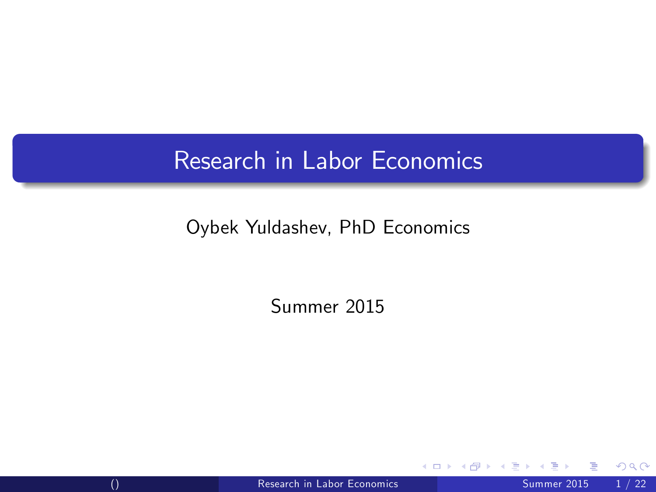### Research in Labor Economics

#### Oybek Yuldashev, PhD Economics

Summer 2015

<span id="page-0-0"></span>4 0 8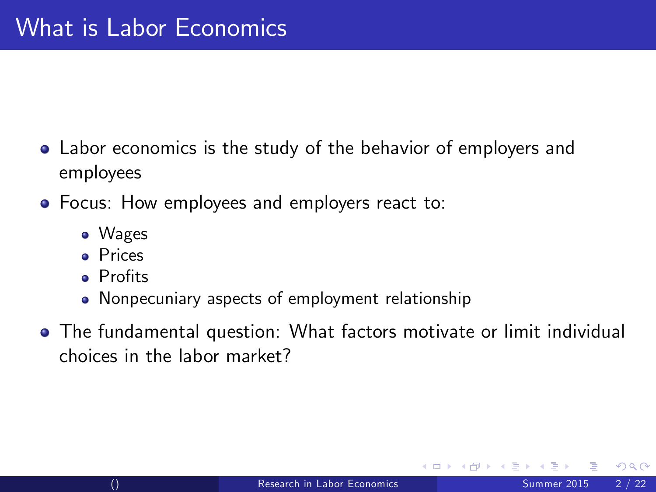- Labor economics is the study of the behavior of employers and employees
- Focus: How employees and employers react to:
	- Wages
	- **•** Prices
	- **Profits**
	- Nonpecuniary aspects of employment relationship
- The fundamental question: What factors motivate or limit individual choices in the labor market?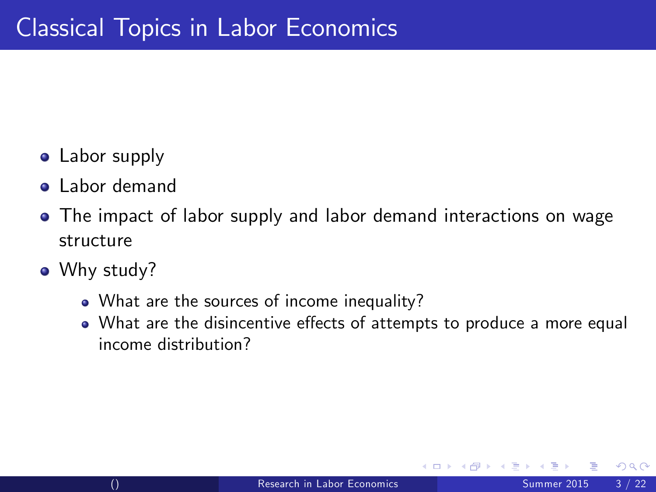- Labor supply
- **•** Labor demand
- The impact of labor supply and labor demand interactions on wage structure
- Why study?
	- What are the sources of income inequality?
	- What are the disincentive effects of attempts to produce a more equal income distribution?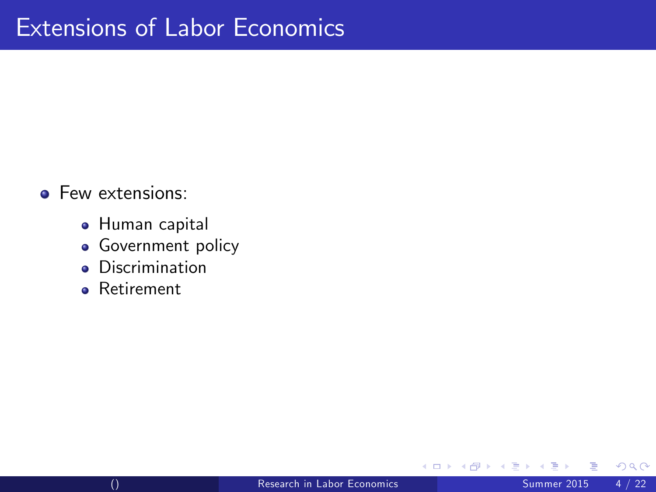- **•** Few extensions:
	- Human capital
	- **·** Government policy
	- **•** Discrimination
	- **•** Retirement

<span id="page-3-0"></span>4 0 8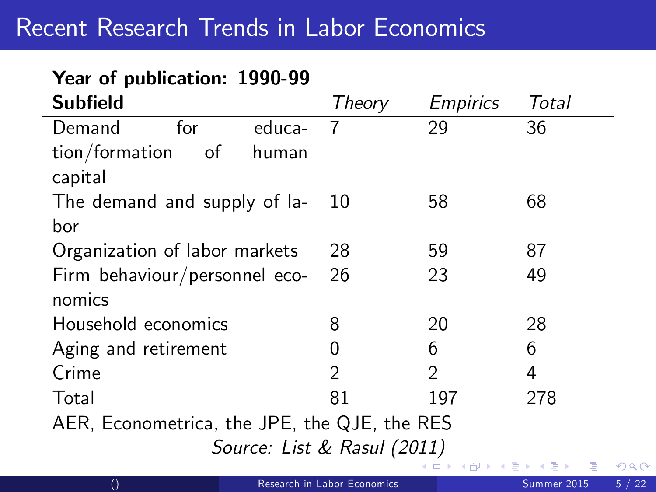## Recent Research Trends in Labor Economics

<span id="page-4-0"></span>

| Year of publication: 1990-99                 |        |                 |           |  |
|----------------------------------------------|--------|-----------------|-----------|--|
| <b>Subfield</b>                              | Theory | <b>Empirics</b> | Total     |  |
| for<br>Demand<br>educa-                      | 7      | 29              | 36        |  |
| tion/formation of<br>human<br>capital        |        |                 |           |  |
| The demand and supply of la-<br>bor          | 10     | 58              | 68        |  |
| Organization of labor markets                | 28     | 59              | 87        |  |
| Firm behaviour/personnel eco-<br>nomics      | 26     | 23              | 49        |  |
| Household economics                          | 8      | 20              | 28        |  |
| Aging and retirement                         | 0      | 6               | 6         |  |
| Crime                                        | 2      | 2               | 4         |  |
| Total                                        | 81     | 197             | 278       |  |
| AER, Econometrica, the JPE, the QJE, the RES |        |                 |           |  |
| Source: List & Rasul (2011)                  |        |                 |           |  |
|                                              |        | (ロ) (何) (ヨ) (ヨ) | э.<br>200 |  |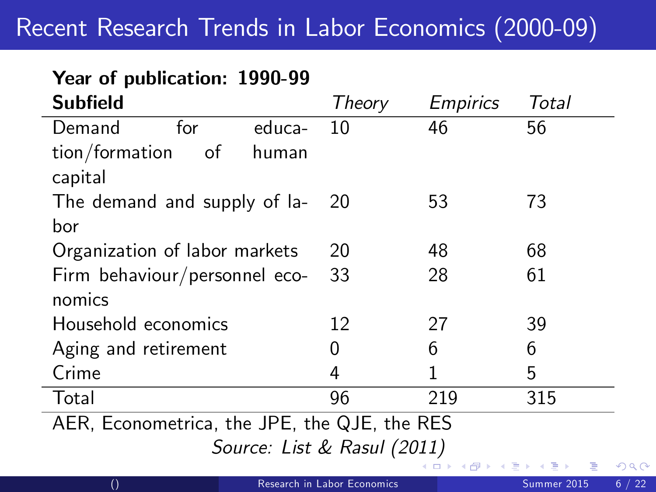# Recent Research Trends in Labor Economics (2000-09)

| Year of publication: 1990-99                 |          |              |       |  |  |
|----------------------------------------------|----------|--------------|-------|--|--|
| <b>Subfield</b>                              | Theory   | Empirics     | Total |  |  |
| for<br>Demand<br>educa-                      | 10       | 46           | 56    |  |  |
| tion/formation of<br>human                   |          |              |       |  |  |
| capital                                      |          |              |       |  |  |
| The demand and supply of la-                 | 20       | 53           | 73    |  |  |
| bor                                          |          |              |       |  |  |
| Organization of labor markets                | 20       | 48           | 68    |  |  |
| Firm behaviour/personnel eco-                | 33       | 28           | 61    |  |  |
| nomics                                       |          |              |       |  |  |
| Household economics                          | 12       | 27           | 39    |  |  |
| Aging and retirement                         | $\Omega$ | 6            | 6     |  |  |
| Crime                                        | 4        | $\mathbf{1}$ | 5     |  |  |
| Total                                        | 96       | 219          | 315   |  |  |
| AER, Econometrica, the JPE, the QJE, the RES |          |              |       |  |  |
| Source: List & Rasul (2011)                  |          |              |       |  |  |

<span id="page-5-0"></span>4 0 3 4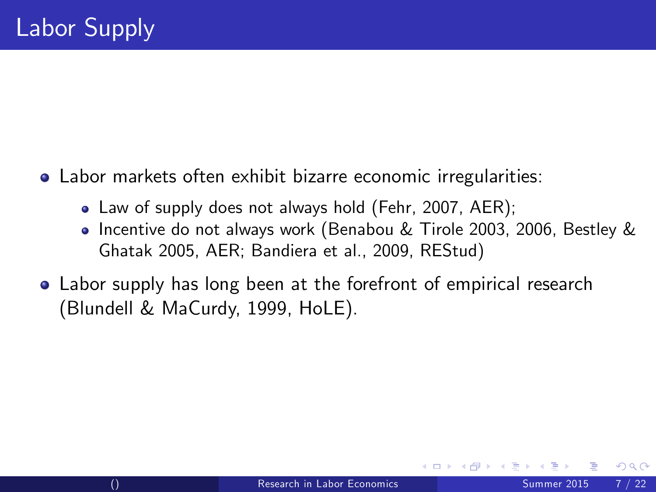- Labor markets often exhibit bizarre economic irregularities:
	- Law of supply does not always hold (Fehr, 2007, AER);
	- Incentive do not always work (Benabou & Tirole 2003, 2006, Bestley & Ghatak 2005, AER; Bandiera et al., 2009, REStud)
- <span id="page-6-0"></span>Labor supply has long been at the forefront of empirical research (Blundell & MaCurdy, 1999, HoLE).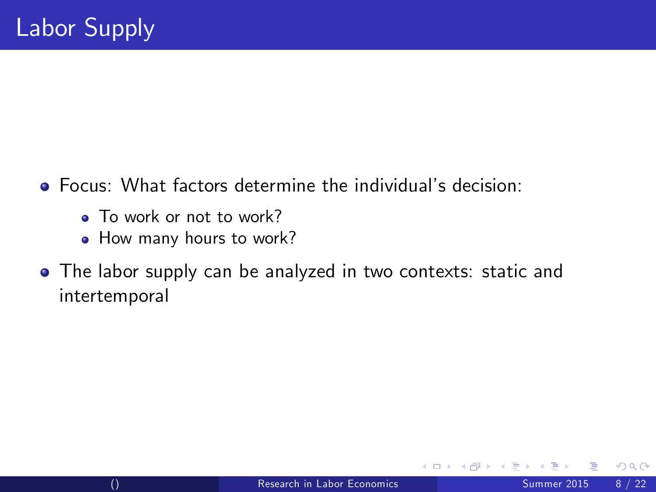- **•** Focus: What factors determine the individual's decision:
	- To work or not to work?
	- How many hours to work?
- The labor supply can be analyzed in two contexts: static and intertemporal

 $\leftarrow$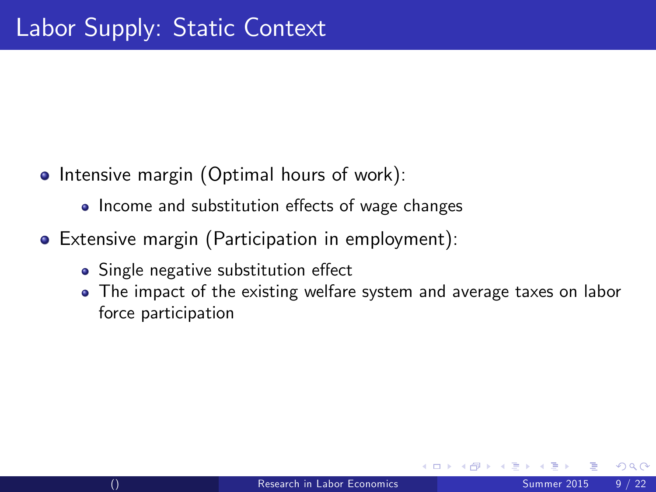- Intensive margin (Optimal hours of work):
	- Income and substitution effects of wage changes
- Extensive margin (Participation in employment):
	- Single negative substitution effect
	- The impact of the existing welfare system and average taxes on labor force participation

つひひ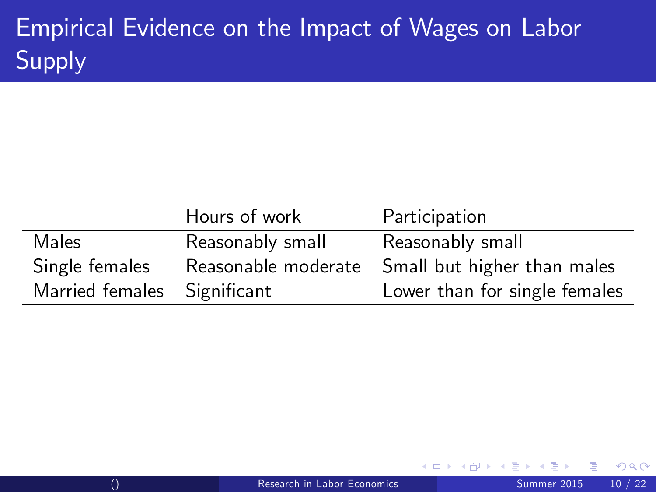# Empirical Evidence on the Impact of Wages on Labor Supply

|                             | Hours of work    | Participation                                   |
|-----------------------------|------------------|-------------------------------------------------|
| Males                       | Reasonably small | Reasonably small                                |
| Single females              |                  | Reasonable moderate Small but higher than males |
| Married females Significant |                  | Lower than for single females                   |

4 0 8

 $QQ$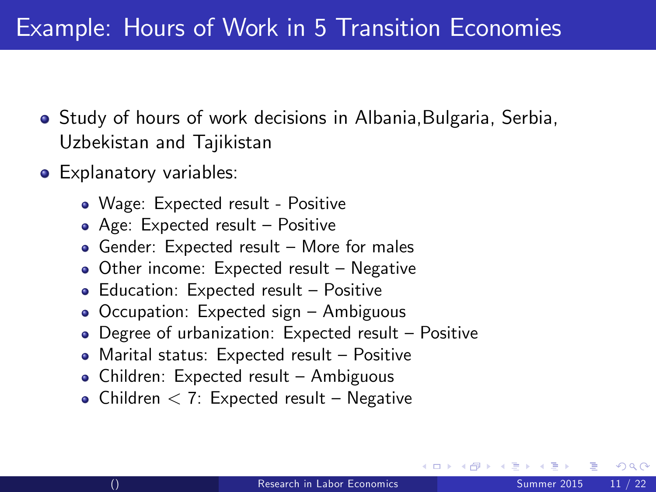## Example: Hours of Work in 5 Transition Economies

- Study of hours of work decisions in Albania,Bulgaria, Serbia, Uzbekistan and Tajikistan
- Explanatory variables:
	- Wage: Expected result Positive
	- Age: Expected result  $-$  Positive
	- $\bullet$  Gender: Expected result  $-$  More for males
	- $\bullet$  Other income: Expected result  $\overline{\phantom{a}}$  Negative
	- $\bullet$  Education: Expected result  $\bullet$  Positive
	- $\bullet$  Occupation: Expected sign  $-$  Ambiguous
	- $\bullet$  Degree of urbanization: Expected result  $\overline{\phantom{a}}$  Positive
	- $\bullet$  Marital status: Expected result  $-$  Positive
	- Children: Expected result  $-$  Ambiguous
	- Children  $< 7$ : Expected result Negative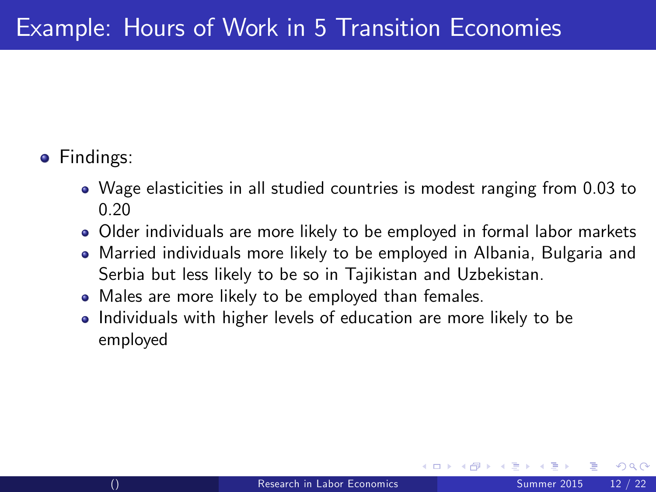### **•** Findings:

- Wage elasticities in all studied countries is modest ranging from 0.03 to 0.20
- Older individuals are more likely to be employed in formal labor markets
- Married individuals more likely to be employed in Albania, Bulgaria and Serbia but less likely to be so in Tajikistan and Uzbekistan.
- Males are more likely to be employed than females.
- Individuals with higher levels of education are more likely to be employed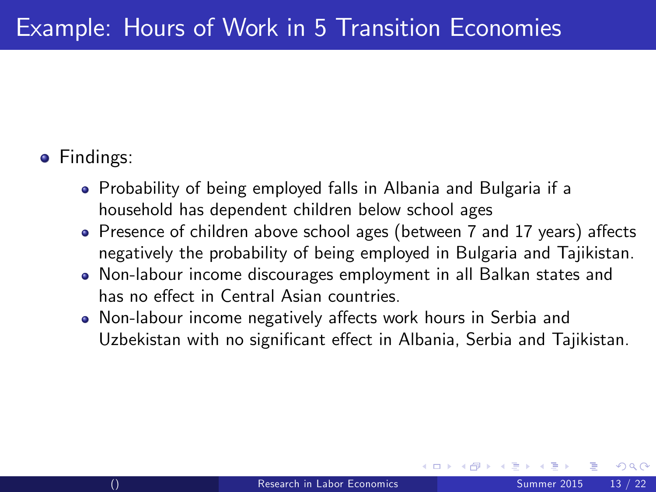### **•** Findings:

- Probability of being employed falls in Albania and Bulgaria if a household has dependent children below school ages
- $\bullet$  Presence of children above school ages (between 7 and 17 years) affects negatively the probability of being employed in Bulgaria and Tajikistan.
- Non-labour income discourages employment in all Balkan states and has no effect in Central Asian countries.
- Non-labour income negatively affects work hours in Serbia and Uzbekistan with no significant effect in Albania, Serbia and Tajikistan.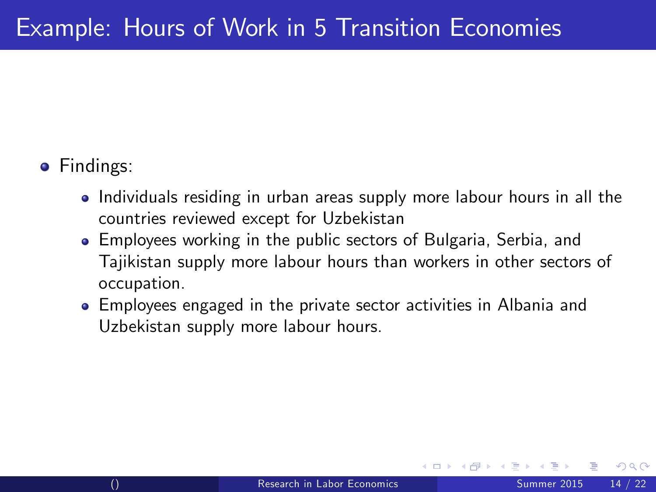#### • Findings:

- Individuals residing in urban areas supply more labour hours in all the countries reviewed except for Uzbekistan
- Employees working in the public sectors of Bulgaria, Serbia, and Tajikistan supply more labour hours than workers in other sectors of occupation.
- Employees engaged in the private sector activities in Albania and Uzbekistan supply more labour hours.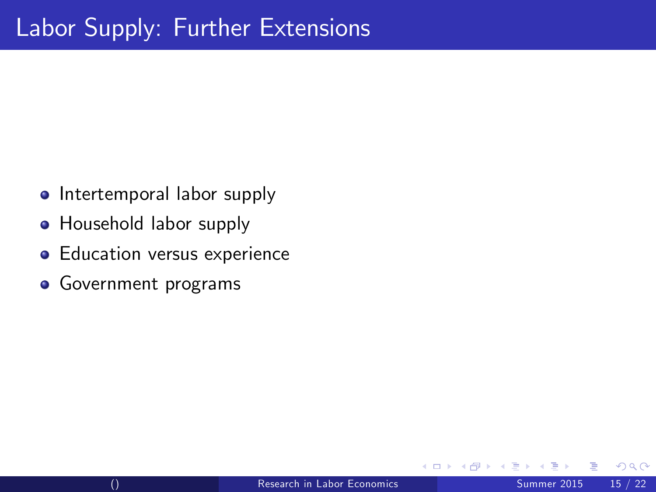- Intertemporal labor supply
- Household labor supply
- Education versus experience
- **•** Government programs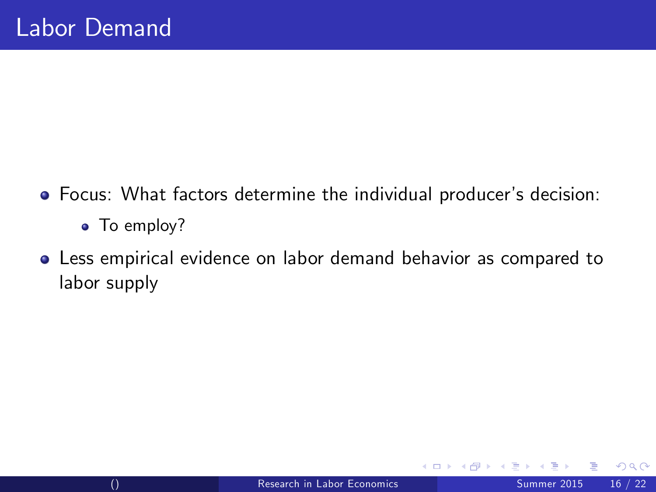- **•** Focus: What factors determine the individual producer's decision:
	- To employ?
- Less empirical evidence on labor demand behavior as compared to labor supply

4 0 8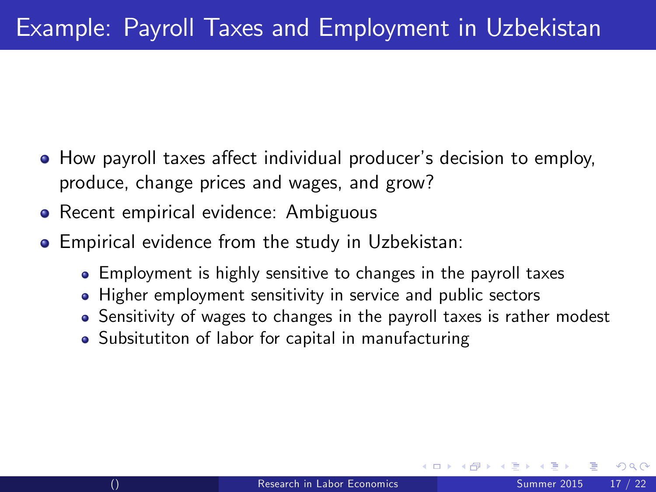- How payroll taxes affect individual producer's decision to employ, produce, change prices and wages, and grow?
- Recent empirical evidence: Ambiguous
- Empirical evidence from the study in Uzbekistan:
	- Employment is highly sensitive to changes in the payroll taxes
	- Higher employment sensitivity in service and public sectors
	- Sensitivity of wages to changes in the payroll taxes is rather modest
	- Subsitutiton of labor for capital in manufacturing

つひひ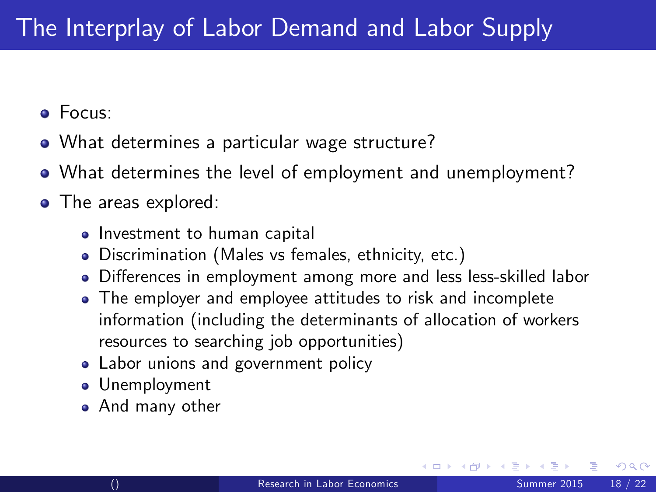- Focus:
- What determines a particular wage structure?
- What determines the level of employment and unemployment?
- The areas explored:
	- **Investment to human capital**
	- Discrimination (Males vs females, ethnicity, etc.)
	- Differences in employment among more and less less-skilled labor
	- The employer and employee attitudes to risk and incomplete information (including the determinants of allocation of workers resources to searching job opportunities)
	- Labor unions and government policy
	- **•** Unemployment
	- And many other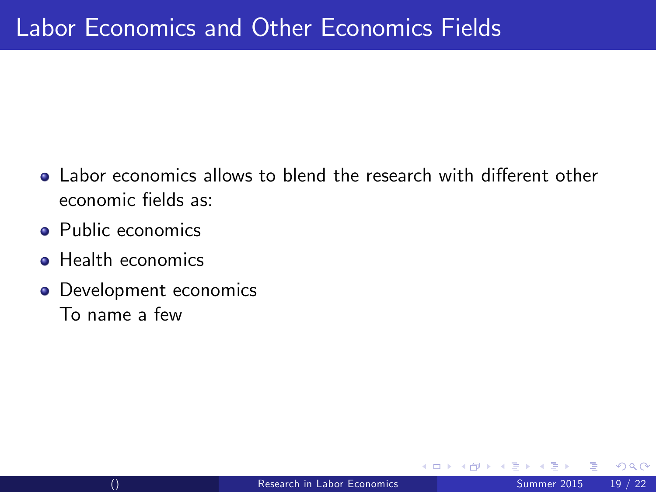- Labor economics allows to blend the research with different other economic fields as:
- **•** Public economics
- **e** Health economics
- Development economics To name a few

つひひ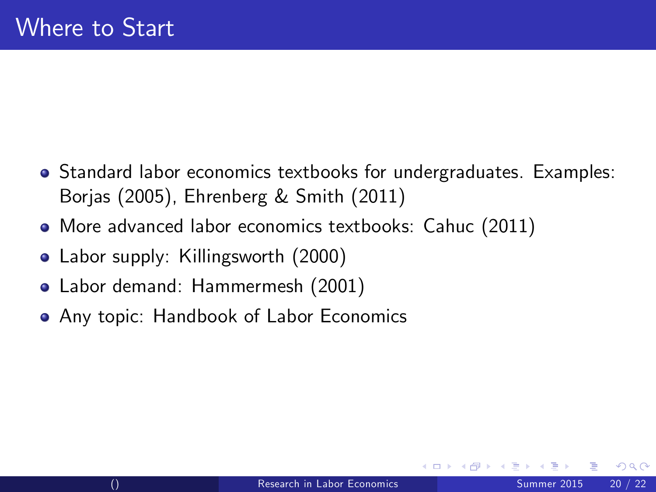- Standard labor economics textbooks for undergraduates. Examples: Borjas (2005), Ehrenberg & Smith (2011)
- More advanced labor economics textbooks: Cahuc (2011)
- Labor supply: Killingsworth (2000)
- Labor demand: Hammermesh (2001)
- Any topic: Handbook of Labor Economics

つひひ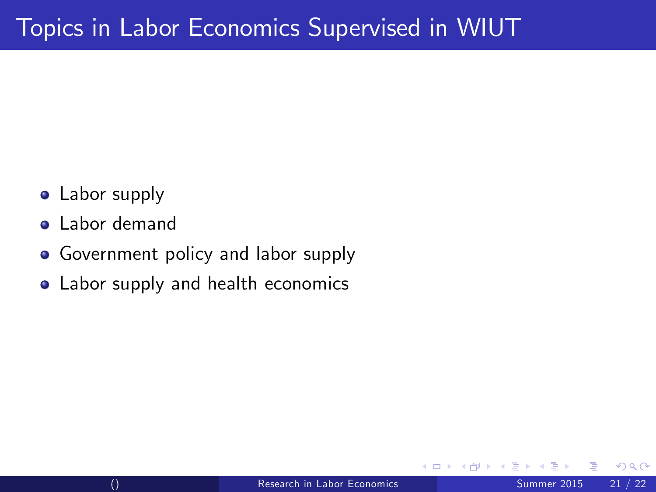- Labor supply
- **•** Labor demand
- Government policy and labor supply
- Labor supply and health economics